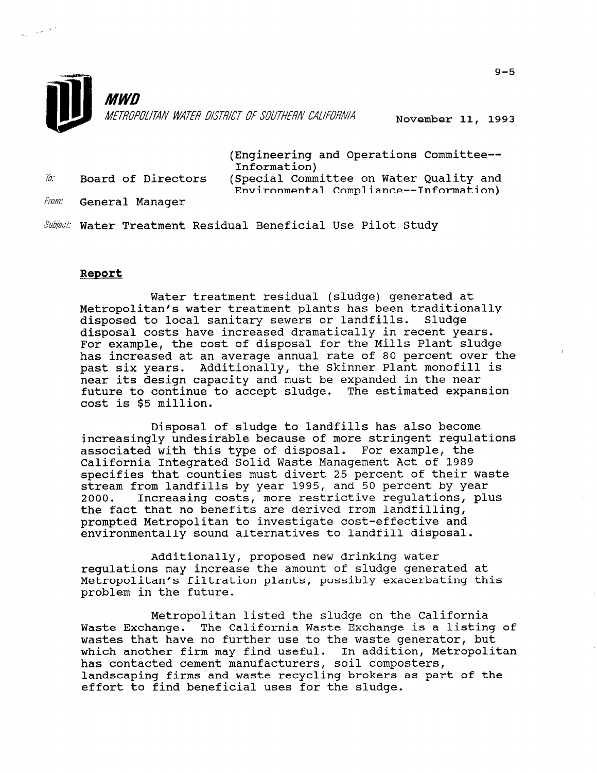

November 11, 1993

(Engineering and Operations Committee-- Information)<br>in Board of Directors (Special Committee on Water Quality and

Environmental Compliance--Information)

From: General Manager

 $\gamma_{\rm{max}} \propto \delta^{-1}$ 

Subject: Water Treatment Residual Beneficial Use Pilot Study

## Report

Water treatment residual (sludge) generated at Metropolitan's water treatment plants has been traditionally disposed to local sanitary sewers or landfills. Sludge disposal costs have increased dramatically in recent years. For example, the cost of disposal for the Mills Plant sludge has increased at an average annual rate of 80 percent over the past six years. Additionally, the Skinner Plant monofill is near its design capacity and must be expanded in the near future to continue to accept sludge. The estimated expansion cost is \$5 million.

Disposal of sludge to landfills has also become increasingly undesirable because of more stringent regulations associated with this type of disposal. For example, the California Integrated Solid Waste Management Act of 1989 specifies that counties must divert 25 percent of their waste stream from landfills by year 1995, and 50 percent by year 2000. Increasing costs, more restrictive regulations, plus the fact that no benefits are derived from landfilling, prompted Metropolitan to investigate cost-effective and environmentally sound alternatives to landfill disposal.

Additionally, proposed new drinking water regulations may increase the amount of sludge generated at Metropolitan's filtration plants, possibly exacerbating this Metropolitan's filtration plants, possibly exacerbating this problem in the future.

Metropolitan listed the sludge on the California Waste Exchange. The California Waste Exchange is a listing of waste Exchange. The California waste Exchange is a fisting<br>waste that have no further use to the waste generator, but wastes that have no further use to the waste generator, but which another firm may find useful. In addition, Metropolitan has contacted cement manufacturers, soil composters, landscaping firms and waste recycling brokers as part of the iandscaping firms and waste recycling brokers